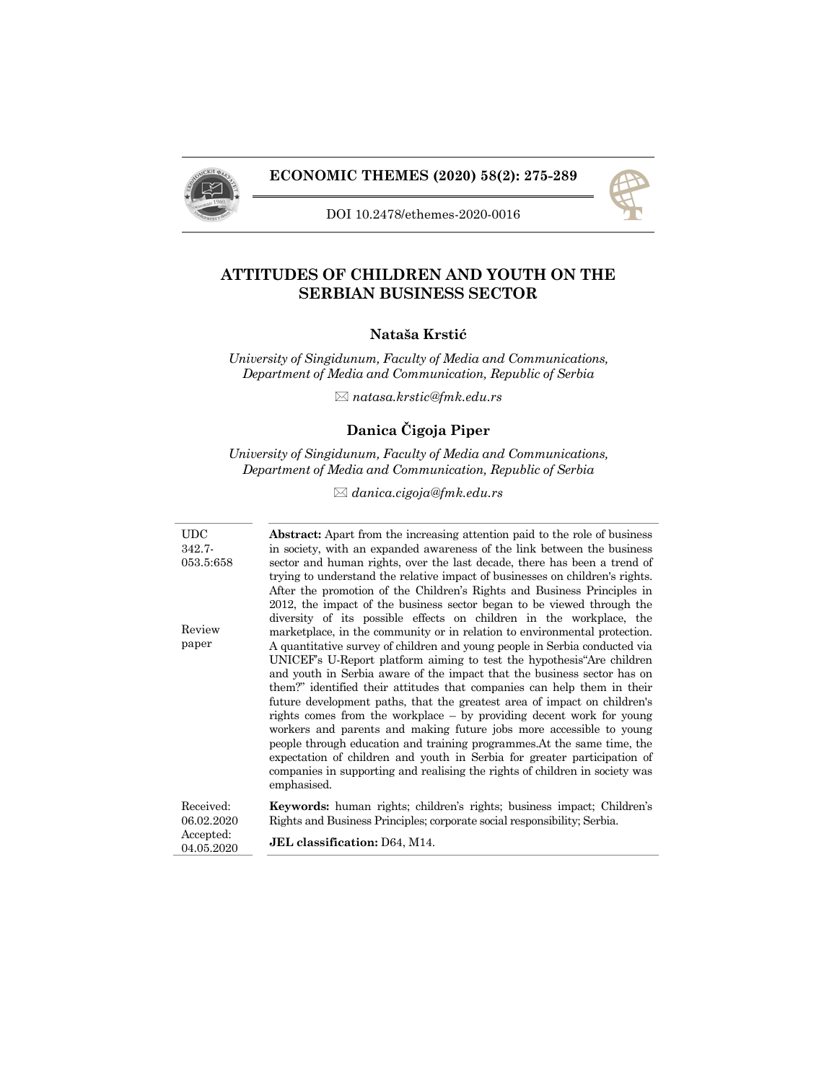



DOI 10.2478/ethemes-2020-0016

# **ATTITUDES OF CHILDREN AND YOUTH ON THE SERBIAN BUSINESS SECTOR**

## **Nataša Krstić**

*University of Singidunum, Faculty of Media and Communications, Department of Media and Communication, Republic of Serbia* 

*natasa.krstic@fmk.edu.rs* 

# **Danica Čigoja Piper**

*University of Singidunum, Faculty of Media and Communications, Department of Media and Communication, Republic of Serbia* 

*danica.cigoja@fmk.edu.rs* 

| <b>UDC</b> | <b>Abstract:</b> Apart from the increasing attention paid to the role of business |
|------------|-----------------------------------------------------------------------------------|
| $342.7 -$  | in society, with an expanded awareness of the link between the business           |
| 053.5:658  | sector and human rights, over the last decade, there has been a trend of          |
|            | trying to understand the relative impact of businesses on children's rights.      |
|            | After the promotion of the Children's Rights and Business Principles in           |
|            | 2012, the impact of the business sector began to be viewed through the            |
|            | diversity of its possible effects on children in the workplace, the               |
| Review     | marketplace, in the community or in relation to environmental protection.         |
| paper      | A quantitative survey of children and young people in Serbia conducted via        |
|            | UNICEF's U-Report platform aiming to test the hypothesis Are children             |
|            | and youth in Serbia aware of the impact that the business sector has on           |
|            | them?" identified their attitudes that companies can help them in their           |
|            | future development paths, that the greatest area of impact on children's          |
|            | rights comes from the workplace – by providing decent work for young              |
|            | workers and parents and making future jobs more accessible to young               |
|            | people through education and training programmes. At the same time, the           |
|            | expectation of children and youth in Serbia for greater participation of          |
|            | companies in supporting and realising the rights of children in society was       |
|            | emphasised.                                                                       |
| Received:  | <b>Keywords:</b> human rights; children's rights; business impact; Children's     |
| 06.02.2020 | Rights and Business Principles; corporate social responsibility; Serbia.          |
| Accepted:  |                                                                                   |
| 04.05.2020 | <b>JEL</b> classification: D64, M14.                                              |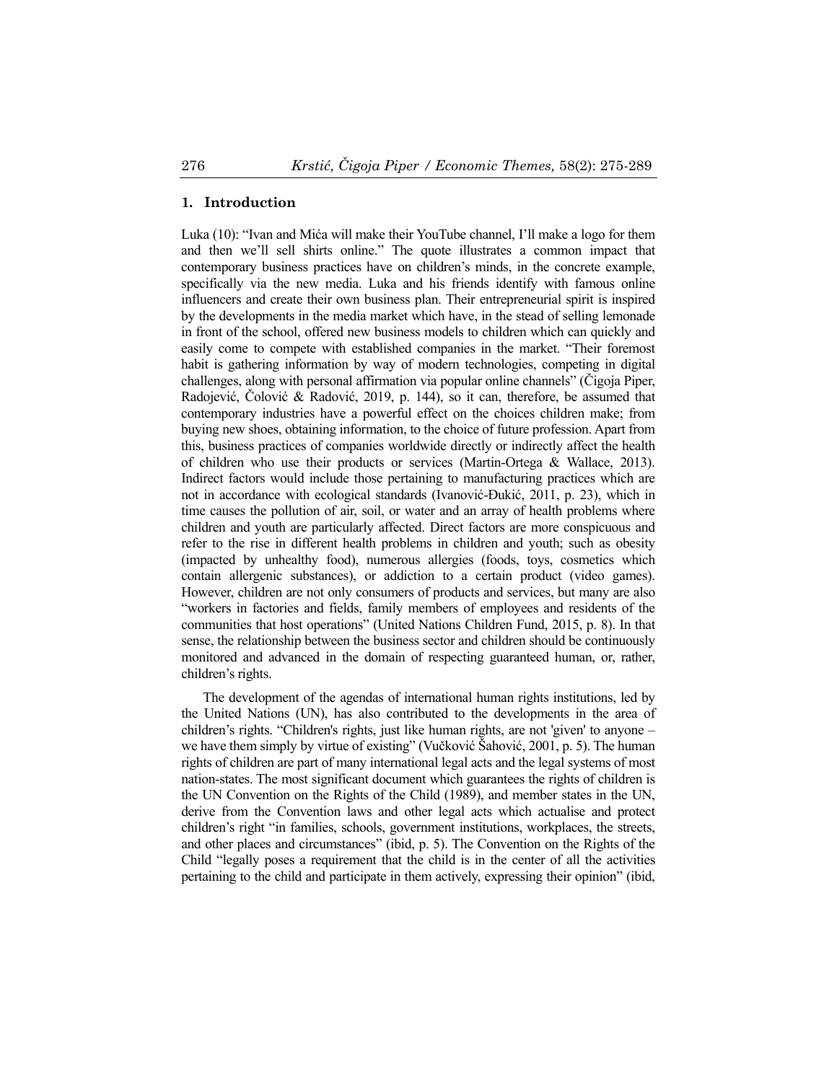## **1. Introduction**

Luka (10): "Ivan and Mića will make their YouTube channel, I'll make a logo for them and then we'll sell shirts online." The quote illustrates a common impact that contemporary business practices have on children's minds, in the concrete example, specifically via the new media. Luka and his friends identify with famous online influencers and create their own business plan. Their entrepreneurial spirit is inspired by the developments in the media market which have, in the stead of selling lemonade in front of the school, offered new business models to children which can quickly and easily come to compete with established companies in the market. "Their foremost habit is gathering information by way of modern technologies, competing in digital challenges, along with personal affirmation via popular online channels" (Čigoja Piper, Radojević, Čolović & Radović, 2019, p. 144), so it can, therefore, be assumed that contemporary industries have a powerful effect on the choices children make; from buying new shoes, obtaining information, to the choice of future profession. Apart from this, business practices of companies worldwide directly or indirectly affect the health of children who use their products or services (Martin-Ortega & Wallace, 2013). Indirect factors would include those pertaining to manufacturing practices which are not in accordance with ecological standards (Ivanović-Đukić, 2011, p. 23), which in time causes the pollution of air, soil, or water and an array of health problems where children and youth are particularly affected. Direct factors are more conspicuous and refer to the rise in different health problems in children and youth; such as obesity (impacted by unhealthy food), numerous allergies (foods, toys, cosmetics which contain allergenic substances), or addiction to a certain product (video games). However, children are not only consumers of products and services, but many are also "workers in factories and fields, family members of employees and residents of the communities that host operations" (United Nations Children Fund, 2015, p. 8). In that sense, the relationship between the business sector and children should be continuously monitored and advanced in the domain of respecting guaranteed human, or, rather, children's rights.

The development of the agendas of international human rights institutions, led by the United Nations (UN), has also contributed to the developments in the area of children's rights. "Children's rights, just like human rights, are not 'given' to anyone – we have them simply by virtue of existing" (Vučković Šahović, 2001, p. 5). The human rights of children are part of many international legal acts and the legal systems of most nation-states. The most significant document which guarantees the rights of children is the UN Convention on the Rights of the Child (1989), and member states in the UN, derive from the Convention laws and other legal acts which actualise and protect children's right "in families, schools, government institutions, workplaces, the streets, and other places and circumstances" (ibid, p. 5). The Convention on the Rights of the Child "legally poses a requirement that the child is in the center of all the activities pertaining to the child and participate in them actively, expressing their opinion" (ibid,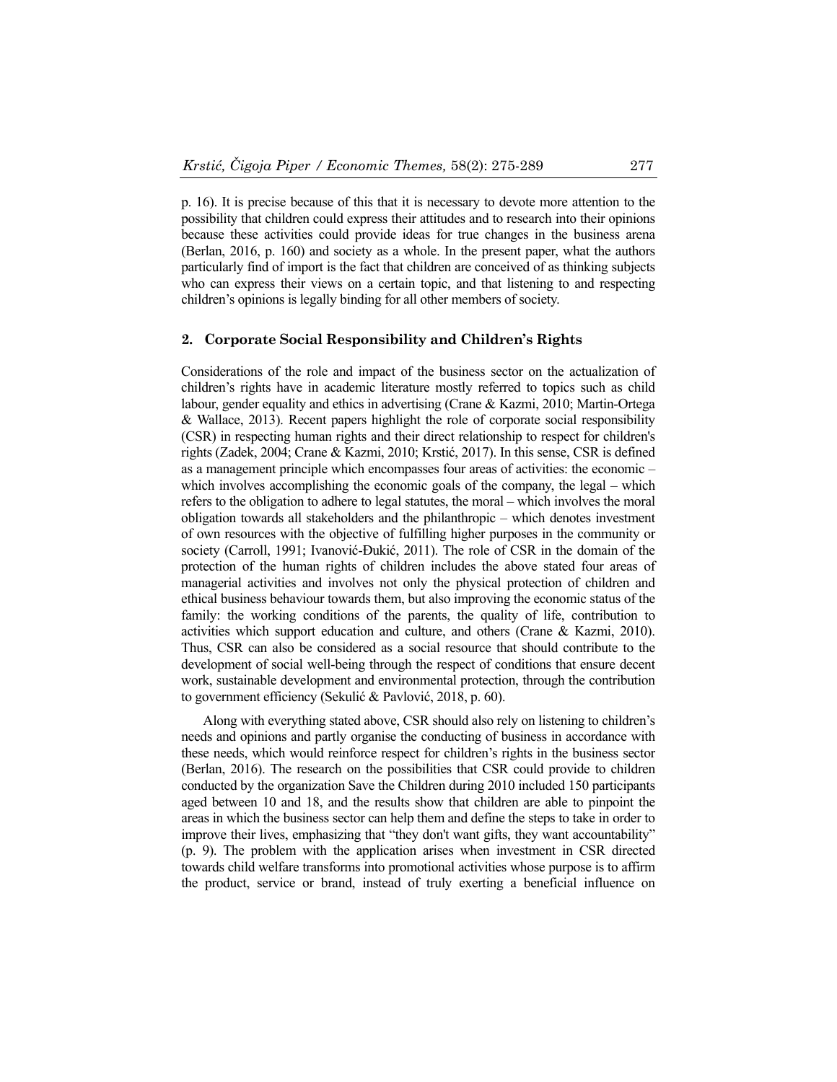p. 16). It is precise because of this that it is necessary to devote more attention to the possibility that children could express their attitudes and to research into their opinions because these activities could provide ideas for true changes in the business arena (Berlan, 2016, p. 160) and society as a whole. In the present paper, what the authors particularly find of import is the fact that children are conceived of as thinking subjects who can express their views on a certain topic, and that listening to and respecting children's opinions is legally binding for all other members of society.

#### **2. Corporate Social Responsibility and Children's Rights**

Considerations of the role and impact of the business sector on the actualization of children's rights have in academic literature mostly referred to topics such as child labour, gender equality and ethics in advertising (Crane & Kazmi, 2010; Martin-Ortega & Wallace, 2013). Recent papers highlight the role of corporate social responsibility (CSR) in respecting human rights and their direct relationship to respect for children's rights (Zadek, 2004; Crane & Kazmi, 2010; Krstić, 2017). In this sense, CSR is defined as a management principle which encompasses four areas of activities: the economic – which involves accomplishing the economic goals of the company, the legal – which refers to the obligation to adhere to legal statutes, the moral – which involves the moral obligation towards all stakeholders and the philanthropic – which denotes investment of own resources with the objective of fulfilling higher purposes in the community or society (Carroll, 1991; Ivanović-Đukić, 2011). The role of CSR in the domain of the protection of the human rights of children includes the above stated four areas of managerial activities and involves not only the physical protection of children and ethical business behaviour towards them, but also improving the economic status of the family: the working conditions of the parents, the quality of life, contribution to activities which support education and culture, and others (Crane & Kazmi, 2010). Thus, CSR can also be considered as a social resource that should contribute to the development of social well-being through the respect of conditions that ensure decent work, sustainable development and environmental protection, through the contribution to government efficiency (Sekulić & Pavlović, 2018, p. 60).

Along with everything stated above, CSR should also rely on listening to children's needs and opinions and partly organise the conducting of business in accordance with these needs, which would reinforce respect for children's rights in the business sector (Berlan, 2016). The research on the possibilities that CSR could provide to children conducted by the organization Save the Children during 2010 included 150 participants aged between 10 and 18, and the results show that children are able to pinpoint the areas in which the business sector can help them and define the steps to take in order to improve their lives, emphasizing that "they don't want gifts, they want accountability" (p. 9). The problem with the application arises when investment in CSR directed towards child welfare transforms into promotional activities whose purpose is to affirm the product, service or brand, instead of truly exerting a beneficial influence on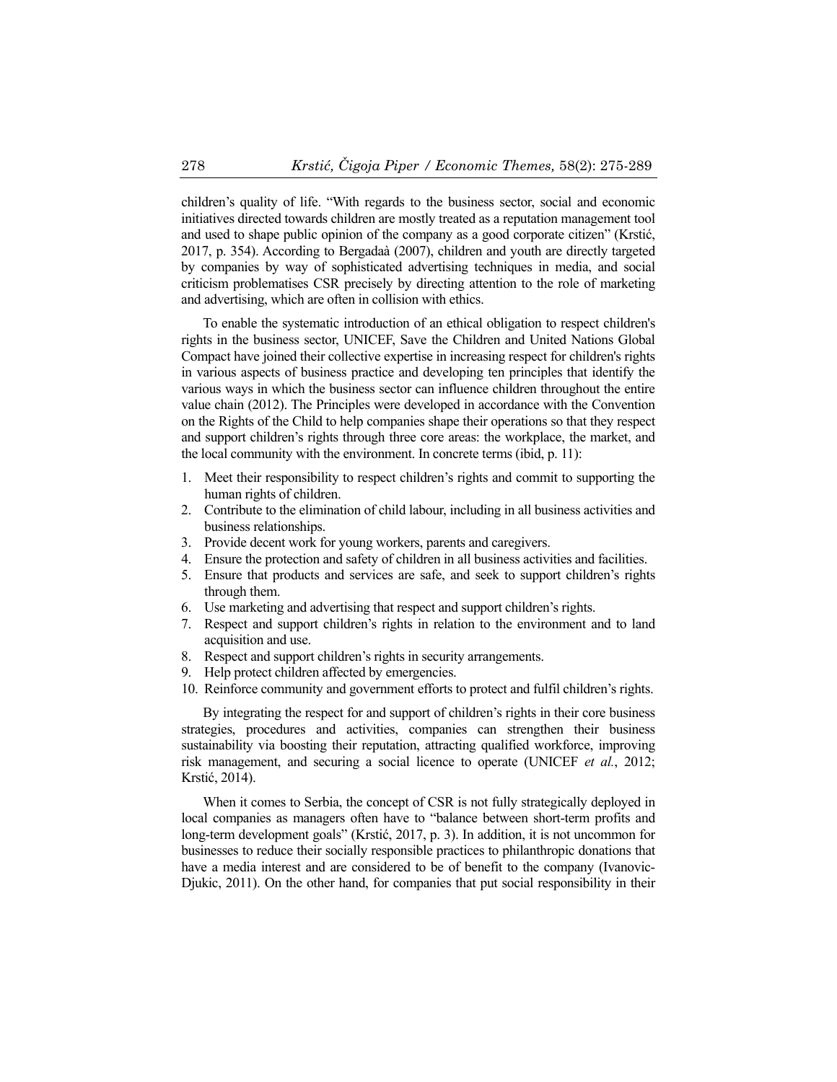children's quality of life. "With regards to the business sector, social and economic initiatives directed towards children are mostly treated as a reputation management tool and used to shape public opinion of the company as a good corporate citizen" (Krstić, 2017, p. 354). According to Bergadaà (2007), children and youth are directly targeted by companies by way of sophisticated advertising techniques in media, and social criticism problematises CSR precisely by directing attention to the role of marketing and advertising, which are often in collision with ethics.

To enable the systematic introduction of an ethical obligation to respect children's rights in the business sector, UNICEF, Save the Children and United Nations Global Compact have joined their collective expertise in increasing respect for children's rights in various aspects of business practice and developing ten principles that identify the various ways in which the business sector can influence children throughout the entire value chain (2012). The Principles were developed in accordance with the Convention on the Rights of the Child to help companies shape their operations so that they respect and support children's rights through three core areas: the workplace, the market, and the local community with the environment. In concrete terms (ibid, p. 11):

- 1. Meet their responsibility to respect children's rights and commit to supporting the human rights of children.
- 2. Contribute to the elimination of child labour, including in all business activities and business relationships.
- 3. Provide decent work for young workers, parents and caregivers.
- 4. Ensure the protection and safety of children in all business activities and facilities.
- 5. Ensure that products and services are safe, and seek to support children's rights through them.
- 6. Use marketing and advertising that respect and support children's rights.
- 7. Respect and support children's rights in relation to the environment and to land acquisition and use.
- 8. Respect and support children's rights in security arrangements.
- 9. Help protect children affected by emergencies.
- 10. Reinforce community and government efforts to protect and fulfil children's rights.

By integrating the respect for and support of children's rights in their core business strategies, procedures and activities, companies can strengthen their business sustainability via boosting their reputation, attracting qualified workforce, improving risk management, and securing a social licence to operate (UNICEF *et al.*, 2012; Krstić, 2014).

When it comes to Serbia, the concept of CSR is not fully strategically deployed in local companies as managers often have to "balance between short-term profits and long-term development goals" (Krstić, 2017, p. 3). In addition, it is not uncommon for businesses to reduce their socially responsible practices to philanthropic donations that have a media interest and are considered to be of benefit to the company (Ivanovic-Djukic, 2011). On the other hand, for companies that put social responsibility in their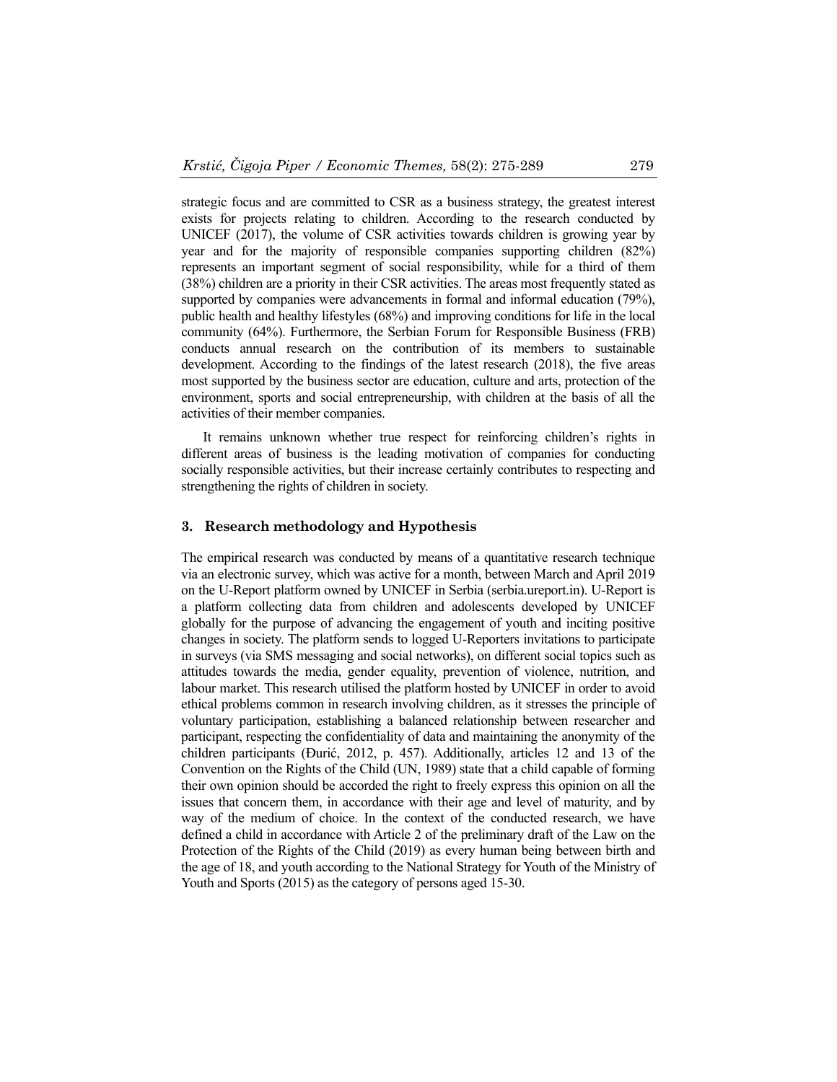strategic focus and are committed to CSR as a business strategy, the greatest interest exists for projects relating to children. According to the research conducted by UNICEF (2017), the volume of CSR activities towards children is growing year by year and for the majority of responsible companies supporting children (82%) represents an important segment of social responsibility, while for a third of them (38%) children are a priority in their CSR activities. The areas most frequently stated as supported by companies were advancements in formal and informal education (79%), public health and healthy lifestyles (68%) and improving conditions for life in the local community (64%). Furthermore, the Serbian Forum for Responsible Business (FRB) conducts annual research on the contribution of its members to sustainable development. According to the findings of the latest research (2018), the five areas most supported by the business sector are education, culture and arts, protection of the environment, sports and social entrepreneurship, with children at the basis of all the activities of their member companies.

It remains unknown whether true respect for reinforcing children's rights in different areas of business is the leading motivation of companies for conducting socially responsible activities, but their increase certainly contributes to respecting and strengthening the rights of children in society.

### **3. Research methodology and Hypothesis**

The empirical research was conducted by means of a quantitative research technique via an electronic survey, which was active for a month, between March and April 2019 on the U-Report platform owned by UNICEF in Serbia (serbia.ureport.in). U-Report is a platform collecting data from children and adolescents developed by UNICEF globally for the purpose of advancing the engagement of youth and inciting positive changes in society. The platform sends to logged U-Reporters invitations to participate in surveys (via SMS messaging and social networks), on different social topics such as attitudes towards the media, gender equality, prevention of violence, nutrition, and labour market. This research utilised the platform hosted by UNICEF in order to avoid ethical problems common in research involving children, as it stresses the principle of voluntary participation, establishing a balanced relationship between researcher and participant, respecting the confidentiality of data and maintaining the anonymity of the children participants (Đurić, 2012, p. 457). Additionally, articles 12 and 13 of the Convention on the Rights of the Child (UN, 1989) state that a child capable of forming their own opinion should be accorded the right to freely express this opinion on all the issues that concern them, in accordance with their age and level of maturity, and by way of the medium of choice. In the context of the conducted research, we have defined a child in accordance with Article 2 of the preliminary draft of the Law on the Protection of the Rights of the Child (2019) as every human being between birth and the age of 18, and youth according to the National Strategy for Youth of the Ministry of Youth and Sports (2015) as the category of persons aged 15-30.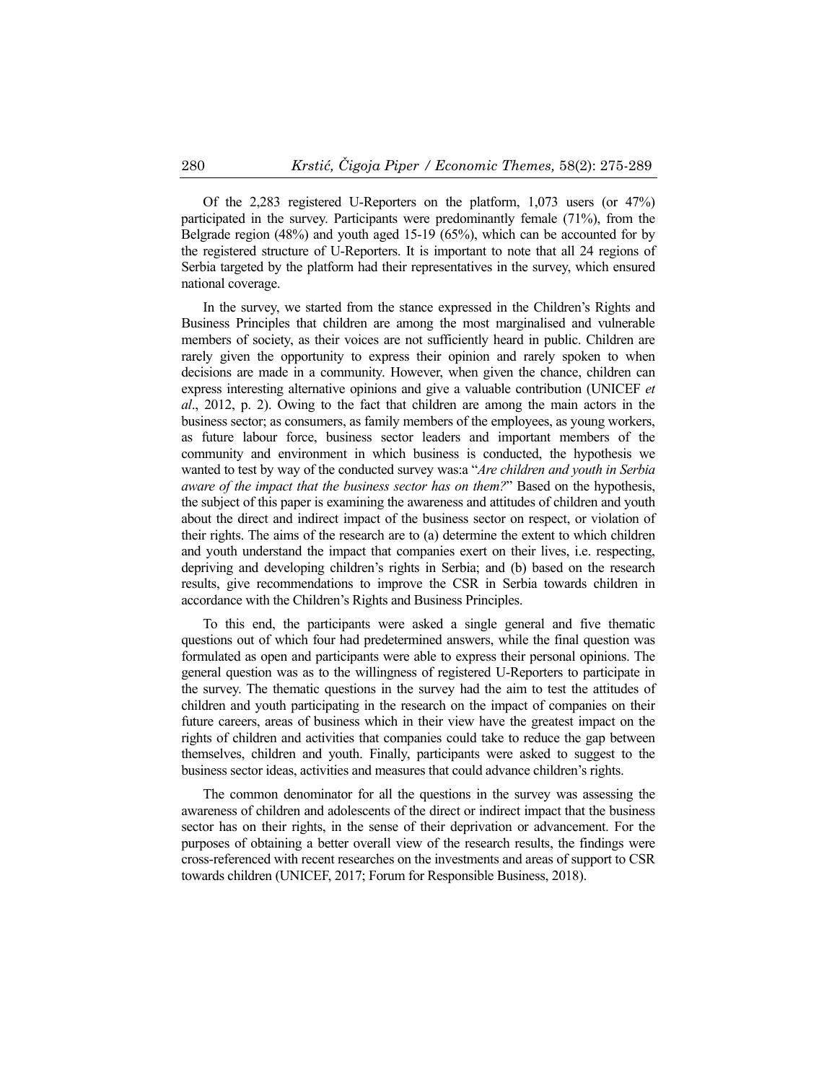Of the 2,283 registered U-Reporters on the platform, 1,073 users (or 47%) participated in the survey. Participants were predominantly female (71%), from the Belgrade region (48%) and youth aged 15-19 (65%), which can be accounted for by the registered structure of U-Reporters. It is important to note that all 24 regions of Serbia targeted by the platform had their representatives in the survey, which ensured national coverage.

In the survey, we started from the stance expressed in the Children's Rights and Business Principles that children are among the most marginalised and vulnerable members of society, as their voices are not sufficiently heard in public. Children are rarely given the opportunity to express their opinion and rarely spoken to when decisions are made in a community. However, when given the chance, children can express interesting alternative opinions and give a valuable contribution (UNICEF *et al*., 2012, p. 2). Owing to the fact that children are among the main actors in the business sector; as consumers, as family members of the employees, as young workers, as future labour force, business sector leaders and important members of the community and environment in which business is conducted, the hypothesis we wanted to test by way of the conducted survey was:a "*Are children and youth in Serbia aware of the impact that the business sector has on them?*" Based on the hypothesis, the subject of this paper is examining the awareness and attitudes of children and youth about the direct and indirect impact of the business sector on respect, or violation of their rights. The aims of the research are to (a) determine the extent to which children and youth understand the impact that companies exert on their lives, i.e. respecting, depriving and developing children's rights in Serbia; and (b) based on the research results, give recommendations to improve the CSR in Serbia towards children in accordance with the Children's Rights and Business Principles.

To this end, the participants were asked a single general and five thematic questions out of which four had predetermined answers, while the final question was formulated as open and participants were able to express their personal opinions. The general question was as to the willingness of registered U-Reporters to participate in the survey. The thematic questions in the survey had the aim to test the attitudes of children and youth participating in the research on the impact of companies on their future careers, areas of business which in their view have the greatest impact on the rights of children and activities that companies could take to reduce the gap between themselves, children and youth. Finally, participants were asked to suggest to the business sector ideas, activities and measures that could advance children's rights.

The common denominator for all the questions in the survey was assessing the awareness of children and adolescents of the direct or indirect impact that the business sector has on their rights, in the sense of their deprivation or advancement. For the purposes of obtaining a better overall view of the research results, the findings were cross-referenced with recent researches on the investments and areas of support to CSR towards children (UNICEF, 2017; Forum for Responsible Business, 2018).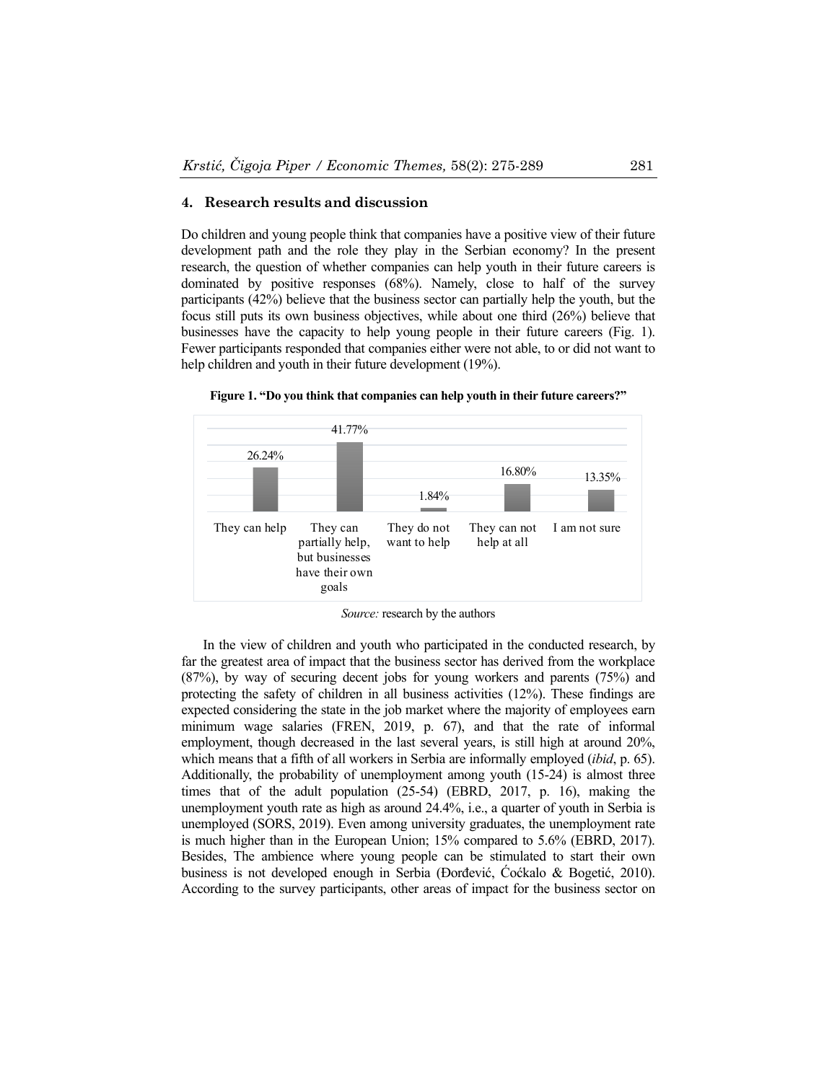## **4. Research results and discussion**

Do children and young people think that companies have a positive view of their future development path and the role they play in the Serbian economy? In the present research, the question of whether companies can help youth in their future careers is dominated by positive responses (68%). Namely, close to half of the survey participants (42%) believe that the business sector can partially help the youth, but the focus still puts its own business objectives, while about one third (26%) believe that businesses have the capacity to help young people in their future careers (Fig. 1). Fewer participants responded that companies either were not able, to or did not want to help children and youth in their future development (19%).



**Figure 1. "Do you think that companies can help youth in their future careers?"** 

*Source:* research by the authors

In the view of children and youth who participated in the conducted research, by far the greatest area of impact that the business sector has derived from the workplace (87%), by way of securing decent jobs for young workers and parents (75%) and protecting the safety of children in all business activities (12%). These findings are expected considering the state in the job market where the majority of employees earn minimum wage salaries (FREN, 2019, p. 67), and that the rate of informal employment, though decreased in the last several years, is still high at around 20%, which means that a fifth of all workers in Serbia are informally employed (*ibid*, p. 65). Additionally, the probability of unemployment among youth (15-24) is almost three times that of the adult population (25-54) (EBRD, 2017, p. 16), making the unemployment youth rate as high as around 24.4%, i.e., a quarter of youth in Serbia is unemployed (SORS, 2019). Even among university graduates, the unemployment rate is much higher than in the European Union; 15% compared to 5.6% (EBRD, 2017). Besides, The ambience where young people can be stimulated to start their own business is not developed enough in Serbia (Đorđević, Ćoćkalo & Bogetić, 2010). According to the survey participants, other areas of impact for the business sector on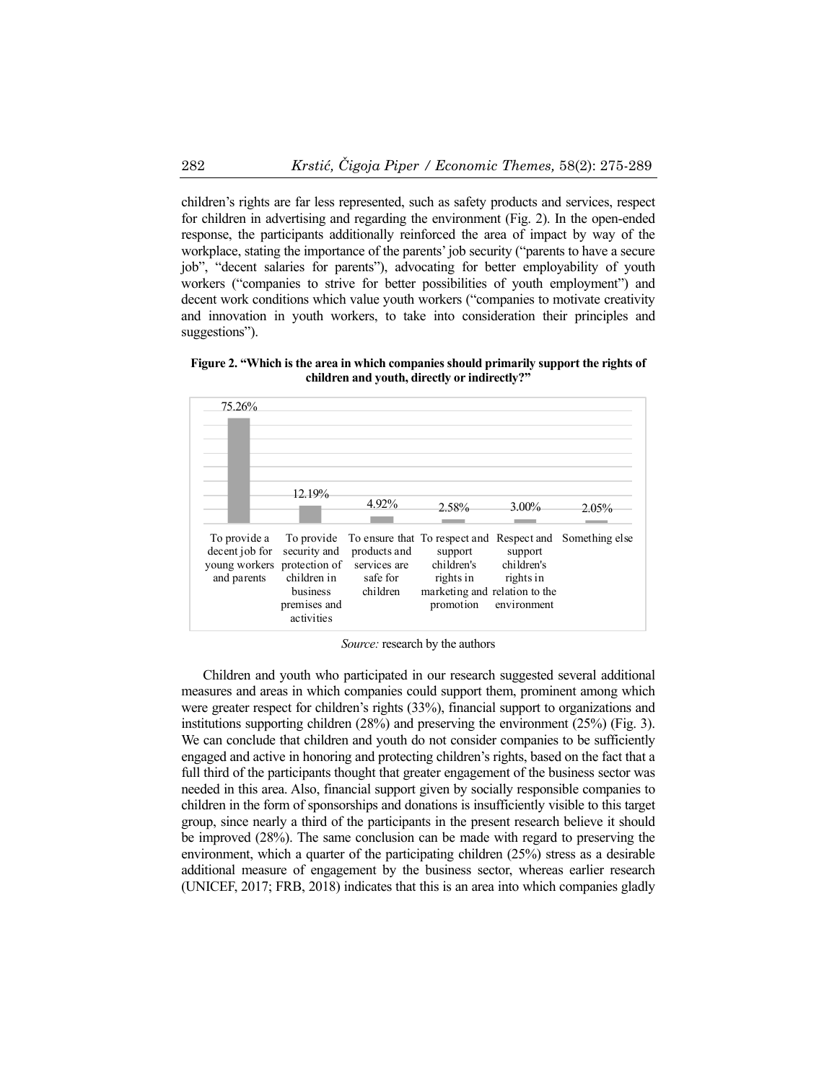children's rights are far less represented, such as safety products and services, respect for children in advertising and regarding the environment (Fig. 2). In the open-ended response, the participants additionally reinforced the area of impact by way of the workplace, stating the importance of the parents' job security ("parents to have a secure job", "decent salaries for parents"), advocating for better employability of youth workers ("companies to strive for better possibilities of youth employment") and decent work conditions which value youth workers ("companies to motivate creativity and innovation in youth workers, to take into consideration their principles and suggestions").

**Figure 2. "Which is the area in which companies should primarily support the rights of children and youth, directly or indirectly?"** 



*Source:* research by the authors

Children and youth who participated in our research suggested several additional measures and areas in which companies could support them, prominent among which were greater respect for children's rights (33%), financial support to organizations and institutions supporting children (28%) and preserving the environment (25%) (Fig. 3). We can conclude that children and youth do not consider companies to be sufficiently engaged and active in honoring and protecting children's rights, based on the fact that a full third of the participants thought that greater engagement of the business sector was needed in this area. Also, financial support given by socially responsible companies to children in the form of sponsorships and donations is insufficiently visible to this target group, since nearly a third of the participants in the present research believe it should be improved (28%). The same conclusion can be made with regard to preserving the environment, which a quarter of the participating children (25%) stress as a desirable additional measure of engagement by the business sector, whereas earlier research (UNICEF, 2017; FRB, 2018) indicates that this is an area into which companies gladly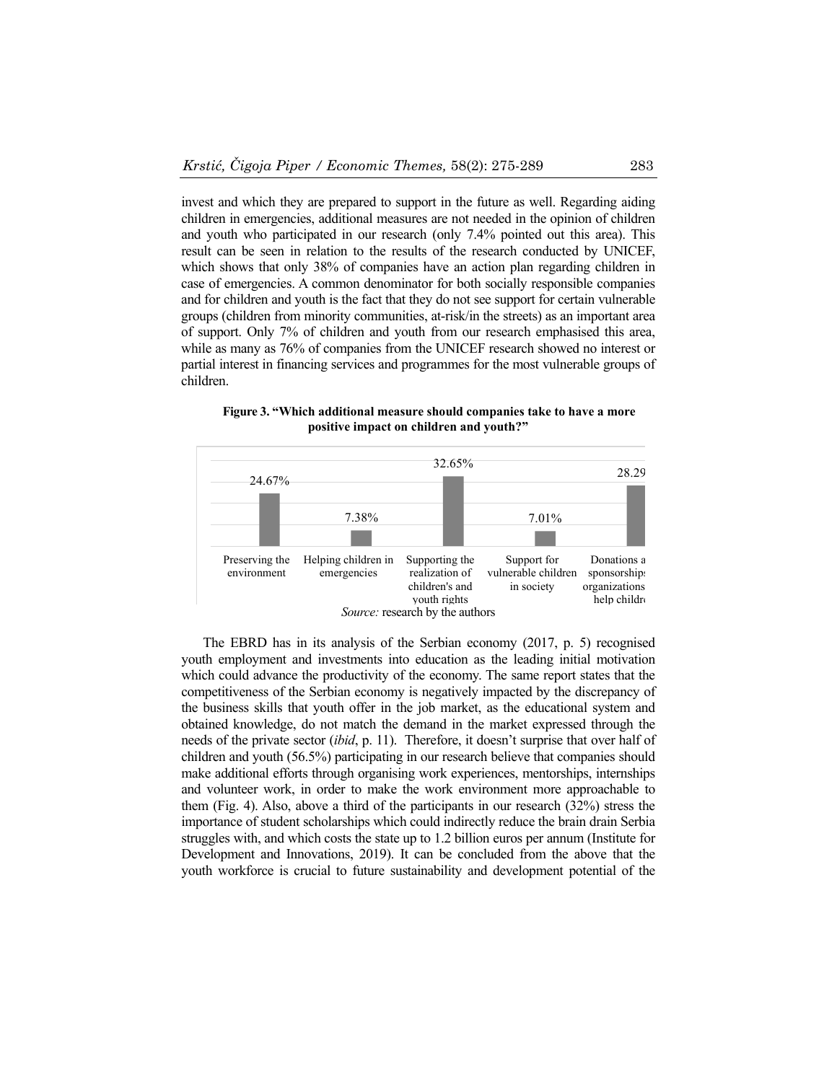invest and which they are prepared to support in the future as well. Regarding aiding children in emergencies, additional measures are not needed in the opinion of children and youth who participated in our research (only 7.4% pointed out this area). This result can be seen in relation to the results of the research conducted by UNICEF, which shows that only 38% of companies have an action plan regarding children in case of emergencies. A common denominator for both socially responsible companies and for children and youth is the fact that they do not see support for certain vulnerable groups (children from minority communities, at-risk/in the streets) as an important area of support. Only 7% of children and youth from our research emphasised this area, while as many as 76% of companies from the UNICEF research showed no interest or partial interest in financing services and programmes for the most vulnerable groups of children.



**Figure 3. "Which additional measure should companies take to have a more positive impact on children and youth?"** 

The EBRD has in its analysis of the Serbian economy (2017, p. 5) recognised youth employment and investments into education as the leading initial motivation which could advance the productivity of the economy. The same report states that the competitiveness of the Serbian economy is negatively impacted by the discrepancy of the business skills that youth offer in the job market, as the educational system and obtained knowledge, do not match the demand in the market expressed through the needs of the private sector (*ibid*, p. 11). Therefore, it doesn't surprise that over half of children and youth (56.5%) participating in our research believe that companies should make additional efforts through organising work experiences, mentorships, internships and volunteer work, in order to make the work environment more approachable to them (Fig. 4). Also, above a third of the participants in our research (32%) stress the importance of student scholarships which could indirectly reduce the brain drain Serbia struggles with, and which costs the state up to 1.2 billion euros per annum (Institute for Development and Innovations, 2019). It can be concluded from the above that the youth workforce is crucial to future sustainability and development potential of the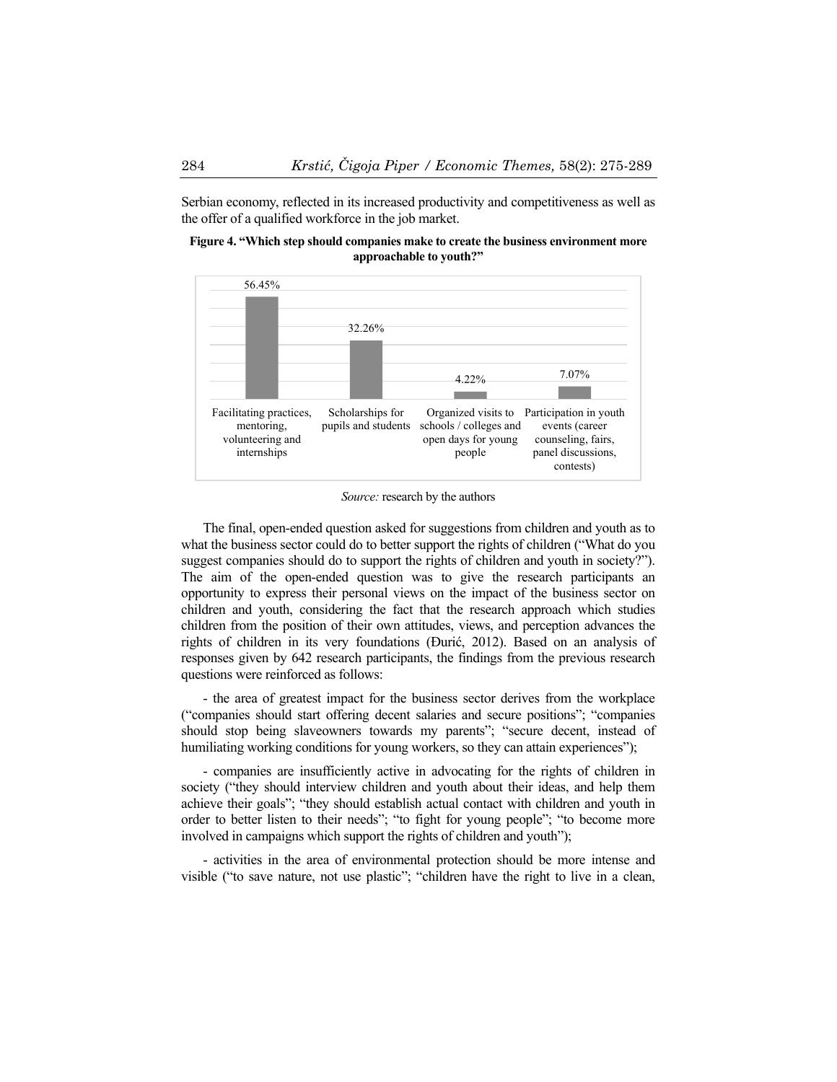Serbian economy, reflected in its increased productivity and competitiveness as well as the offer of a qualified workforce in the job market.

**Figure 4. "Which step should companies make to create the business environment more approachable to youth?"** 



*Source:* research by the authors

The final, open-ended question asked for suggestions from children and youth as to what the business sector could do to better support the rights of children ("What do you suggest companies should do to support the rights of children and youth in society?"). The aim of the open-ended question was to give the research participants an opportunity to express their personal views on the impact of the business sector on children and youth, considering the fact that the research approach which studies children from the position of their own attitudes, views, and perception advances the rights of children in its very foundations (Đurić, 2012). Based on an analysis of responses given by 642 research participants, the findings from the previous research questions were reinforced as follows:

- the area of greatest impact for the business sector derives from the workplace ("companies should start offering decent salaries and secure positions"; "companies should stop being slaveowners towards my parents"; "secure decent, instead of humiliating working conditions for young workers, so they can attain experiences");

- companies are insufficiently active in advocating for the rights of children in society ("they should interview children and youth about their ideas, and help them achieve their goals"; "they should establish actual contact with children and youth in order to better listen to their needs"; "to fight for young people"; "to become more involved in campaigns which support the rights of children and youth");

- activities in the area of environmental protection should be more intense and visible ("to save nature, not use plastic"; "children have the right to live in a clean,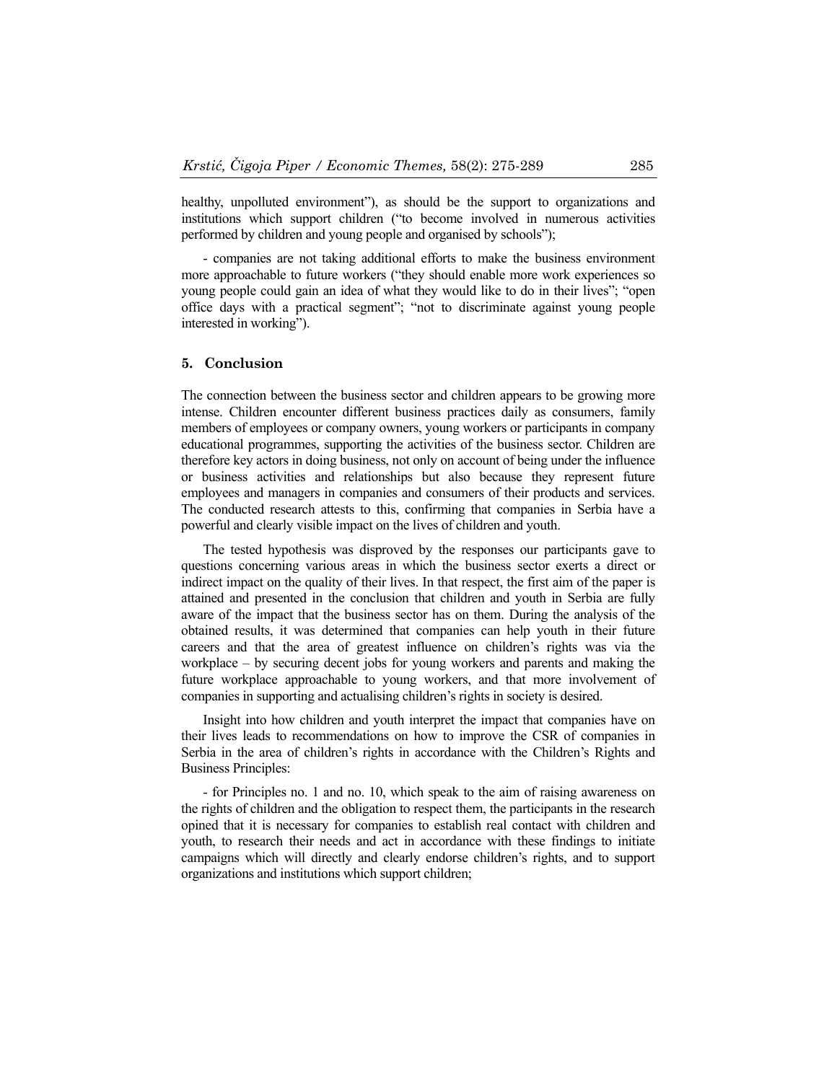healthy, unpolluted environment"), as should be the support to organizations and institutions which support children ("to become involved in numerous activities performed by children and young people and organised by schools");

- companies are not taking additional efforts to make the business environment more approachable to future workers ("they should enable more work experiences so young people could gain an idea of what they would like to do in their lives"; "open office days with a practical segment"; "not to discriminate against young people interested in working").

#### **5. Conclusion**

The connection between the business sector and children appears to be growing more intense. Children encounter different business practices daily as consumers, family members of employees or company owners, young workers or participants in company educational programmes, supporting the activities of the business sector. Children are therefore key actors in doing business, not only on account of being under the influence or business activities and relationships but also because they represent future employees and managers in companies and consumers of their products and services. The conducted research attests to this, confirming that companies in Serbia have a powerful and clearly visible impact on the lives of children and youth.

The tested hypothesis was disproved by the responses our participants gave to questions concerning various areas in which the business sector exerts a direct or indirect impact on the quality of their lives. In that respect, the first aim of the paper is attained and presented in the conclusion that children and youth in Serbia are fully aware of the impact that the business sector has on them. During the analysis of the obtained results, it was determined that companies can help youth in their future careers and that the area of greatest influence on children's rights was via the workplace – by securing decent jobs for young workers and parents and making the future workplace approachable to young workers, and that more involvement of companies in supporting and actualising children's rights in society is desired.

Insight into how children and youth interpret the impact that companies have on their lives leads to recommendations on how to improve the CSR of companies in Serbia in the area of children's rights in accordance with the Children's Rights and Business Principles:

- for Principles no. 1 and no. 10, which speak to the aim of raising awareness on the rights of children and the obligation to respect them, the participants in the research opined that it is necessary for companies to establish real contact with children and youth, to research their needs and act in accordance with these findings to initiate campaigns which will directly and clearly endorse children's rights, and to support organizations and institutions which support children;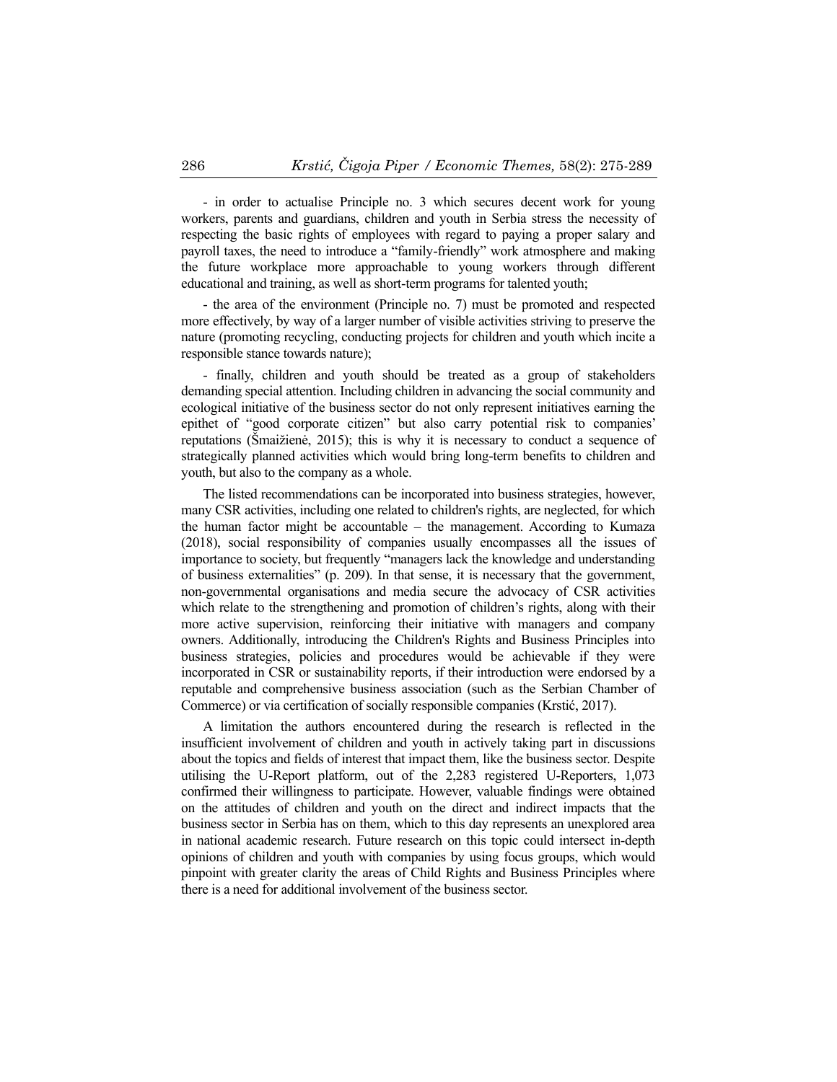- in order to actualise Principle no. 3 which secures decent work for young workers, parents and guardians, children and youth in Serbia stress the necessity of respecting the basic rights of employees with regard to paying a proper salary and payroll taxes, the need to introduce a "family-friendly" work atmosphere and making the future workplace more approachable to young workers through different educational and training, as well as short-term programs for talented youth;

- the area of the environment (Principle no. 7) must be promoted and respected more effectively, by way of a larger number of visible activities striving to preserve the nature (promoting recycling, conducting projects for children and youth which incite a responsible stance towards nature);

- finally, children and youth should be treated as a group of stakeholders demanding special attention. Including children in advancing the social community and ecological initiative of the business sector do not only represent initiatives earning the epithet of "good corporate citizen" but also carry potential risk to companies' reputations (Šmaižienė, 2015); this is why it is necessary to conduct a sequence of strategically planned activities which would bring long-term benefits to children and youth, but also to the company as a whole.

The listed recommendations can be incorporated into business strategies, however, many CSR activities, including one related to children's rights, are neglected, for which the human factor might be accountable – the management. According to Kumaza (2018), social responsibility of companies usually encompasses all the issues of importance to society, but frequently "managers lack the knowledge and understanding of business externalities" (p. 209). In that sense, it is necessary that the government, non-governmental organisations and media secure the advocacy of CSR activities which relate to the strengthening and promotion of children's rights, along with their more active supervision, reinforcing their initiative with managers and company owners. Additionally, introducing the Children's Rights and Business Principles into business strategies, policies and procedures would be achievable if they were incorporated in CSR or sustainability reports, if their introduction were endorsed by a reputable and comprehensive business association (such as the Serbian Chamber of Commerce) or via certification of socially responsible companies (Krstić, 2017).

A limitation the authors encountered during the research is reflected in the insufficient involvement of children and youth in actively taking part in discussions about the topics and fields of interest that impact them, like the business sector. Despite utilising the U-Report platform, out of the 2,283 registered U-Reporters, 1,073 confirmed their willingness to participate. However, valuable findings were obtained on the attitudes of children and youth on the direct and indirect impacts that the business sector in Serbia has on them, which to this day represents an unexplored area in national academic research. Future research on this topic could intersect in-depth opinions of children and youth with companies by using focus groups, which would pinpoint with greater clarity the areas of Child Rights and Business Principles where there is a need for additional involvement of the business sector.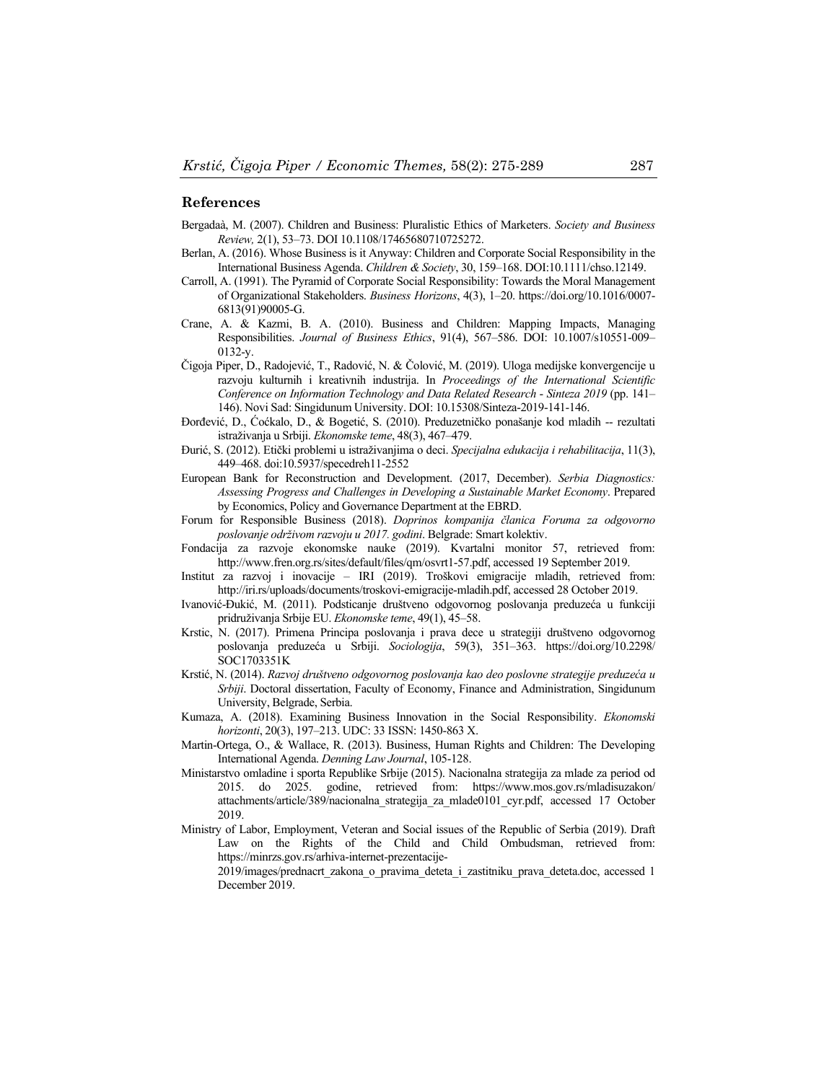#### **References**

- Bergadaà, M. (2007). Children and Business: Pluralistic Ethics of Marketers. *Society and Business Review,* 2(1), 53–73. DOI 10.1108/17465680710725272.
- Berlan, A. (2016). Whose Business is it Anyway: Children and Corporate Social Responsibility in the International Business Agenda. *Children & Society*, 30, 159–168. DOI:10.1111/chso.12149.
- Carroll, A. (1991). The Pyramid of Corporate Social Responsibility: Towards the Moral Management of Organizational Stakeholders. *Business Horizons*, 4(3), 1–20. https://doi.org/10.1016/0007- 6813(91)90005-G.
- Crane, A. & Kazmi, B. A. (2010). Business and Children: Mapping Impacts, Managing Responsibilities. *Journal of Business Ethics*, 91(4), 567–586. DOI: 10.1007/s10551-009– 0132-y.
- Čigoja Piper, D., Radojević, T., Radović, N. & Čolović, M. (2019). Uloga medijske konvergencije u razvoju kulturnih i kreativnih industrija. In *Proceedings of the International Scientific Conference on Information Technology and Data Related Research* - *Sinteza 2019* (pp. 141– 146). Novi Sad: Singidunum University. DOI: 10.15308/Sinteza-2019-141-146.
- Đorđević, D., Ćoćkalo, D., & Bogetić, S. (2010). Preduzetničko ponašanje kod mladih -- rezultati istraživanja u Srbiji. *Ekonomske teme*, 48(3), 467–479.
- Đurić, S. (2012). Etički problemi u istraživanjima o deci. *Specijalna edukacija i rehabilitacija*, 11(3), 449–468. doi:10.5937/specedreh11-2552
- European Bank for Reconstruction and Development. (2017, December). *Serbia Diagnostics: Assessing Progress and Challenges in Developing a Sustainable Market Economy*. Prepared by Economics, Policy and Governance Department at the EBRD.
- Forum for Responsible Business (2018). *Doprinos kompanija članica Foruma za odgovorno poslovanje održivom razvoju u 2017. godini*. Belgrade: Smart kolektiv.
- Fondacija za razvoje ekonomske nauke (2019). Kvartalni monitor 57, retrieved from: http://www.fren.org.rs/sites/default/files/qm/osvrt1-57.pdf, accessed 19 September 2019.
- Institut za razvoj i inovacije IRI (2019). Troškovi emigracije mladih, retrieved from: http://iri.rs/uploads/documents/troskovi-emigracije-mladih.pdf, accessed 28 October 2019.
- Ivanović-Đukić, M. (2011). Podsticanje društveno odgovornog poslovanja preduzeća u funkciji pridruživanja Srbije EU. *Ekonomske teme*, 49(1), 45–58.
- Krstic, N. (2017). Primena Principa poslovanja i prava dece u strategiji društveno odgovornog poslovanja preduzeća u Srbiji. *Sociologija*, 59(3), 351–363. https://doi.org/10.2298/ SOC1703351K
- Krstić, N. (2014). *Razvoj društveno odgovornog poslovanja kao deo poslovne strategije preduzeća u Srbiji*. Doctoral dissertation, Faculty of Economy, Finance and Administration, Singidunum University, Belgrade, Serbia.
- Kumaza, A. (2018). Examining Business Innovation in the Social Responsibility. *Ekonomski horizonti*, 20(3), 197–213. UDC: 33 ISSN: 1450-863 X.
- Martin-Ortega, O., & Wallace, R. (2013). Business, Human Rights and Children: The Developing International Agenda. *Denning Law Journal*, 105-128.
- Ministarstvo omladine i sporta Republike Srbije (2015). Nacionalna strategija za mlade za period od 2015. do 2025. godine, retrieved from: https://www.mos.gov.rs/mladisuzakon/ attachments/article/389/nacionalna\_strategija\_za\_mlade0101\_cyr.pdf, accessed 17 October 2019.
- Ministry of Labor, Employment, Veteran and Social issues of the Republic of Serbia (2019). Draft Law on the Rights of the Child and Child Ombudsman, retrieved from: https://minrzs.gov.rs/arhiva-internet-prezentacije-

2019/images/prednacrt\_zakona\_o\_pravima\_deteta\_i\_zastitniku\_prava\_deteta.doc, accessed 1 December 2019.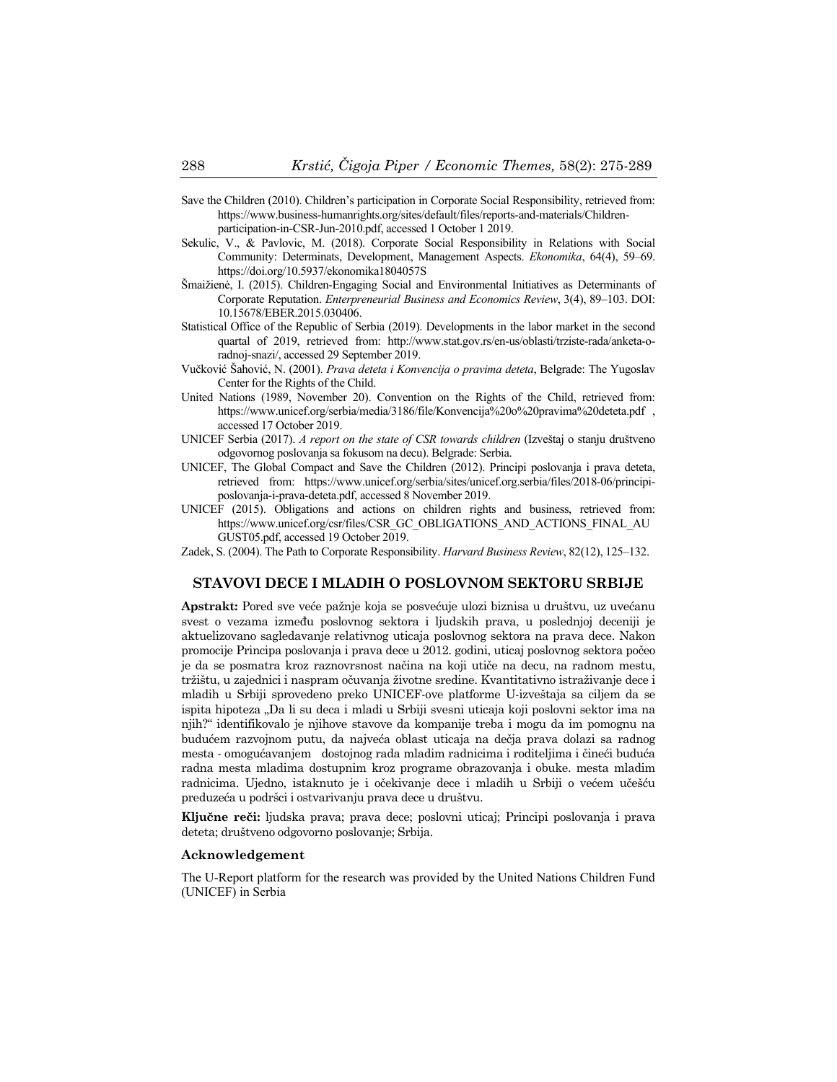- Save the Children (2010). Children's participation in Corporate Social Responsibility, retrieved from: https://www.business-humanrights.org/sites/default/files/reports-and-materials/Childrenparticipation-in-CSR-Jun-2010.pdf, accessed 1 October 1 2019.
- Sekulic, V., & Pavlovic, M. (2018). Corporate Social Responsibility in Relations with Social Community: Determinats, Development, Management Aspects. *Ekonomika*, 64(4), 59–69. https://doi.org/10.5937/ekonomika1804057S
- Šmaižienė, I. (2015). Children-Engaging Social and Environmental Initiatives as Determinants of Corporate Reputation. *Enterpreneurial Business and Economics Review*, 3(4), 89–103. DOI: 10.15678/EBER.2015.030406.
- Statistical Office of the Republic of Serbia (2019). Developments in the labor market in the second quartal of 2019, retrieved from: http://www.stat.gov.rs/en-us/oblasti/trziste-rada/anketa-oradnoj-snazi/, accessed 29 September 2019.
- Vučković Šahović, N. (2001). *Prava deteta i Konvencija o pravima deteta*, Belgrade: The Yugoslav Center for the Rights of the Child.
- United Nations (1989, November 20). Convention on the Rights of the Child, retrieved from: https://www.unicef.org/serbia/media/3186/file/Konvencija%20o%20pravima%20deteta.pdf , accessed 17 October 2019.
- UNICEF Serbia (2017). *A report on the state of CSR towards children* (Izveštaj o stanju društveno odgovornog poslovanja sa fokusom na decu). Belgrade: Serbia.
- UNICEF, The Global Compact and Save the Children (2012). Principi poslovanja i prava deteta, retrieved from: https://www.unicef.org/serbia/sites/unicef.org.serbia/files/2018-06/principiposlovanja-i-prava-deteta.pdf, accessed 8 November 2019.
- UNICEF (2015). Obligations and actions on children rights and business, retrieved from: https://www.unicef.org/csr/files/CSR\_GC\_OBLIGATIONS\_AND\_ACTIONS\_FINAL\_AU GUST05.pdf, accessed 19 October 2019.

Zadek, S. (2004). The Path to Corporate Responsibility. *Harvard Business Review*, 82(12), 125–132.

#### **STAVOVI DECE I MLADIH O POSLOVNOM SEKTORU SRBIJE**

**Apstrakt:** Pored sve veće pažnje koja se posvećuje ulozi biznisa u društvu, uz uvećanu svest o vezama između poslovnog sektora i ljudskih prava, u poslednjoj deceniji je aktuelizovano sagledavanje relativnog uticaja poslovnog sektora na prava dece. Nakon promocije Principa poslovanja i prava dece u 2012. godini, uticaj poslovnog sektora počeo je da se posmatra kroz raznovrsnost načina na koji utiče na decu, na radnom mestu, tržištu, u zajednici i naspram očuvanja životne sredine. Kvantitativno istraživanje dece i mladih u Srbiji sprovedeno preko UNICEF-ove platforme U-izveštaja sa ciljem da se ispita hipoteza "Da li su deca i mladi u Srbiji svesni uticaja koji poslovni sektor ima na njih?" identifikovalo je njihove stavove da kompanije treba i mogu da im pomognu na budućem razvojnom putu, da najveća oblast uticaja na dečja prava dolazi sa radnog mesta - omogućavanjem dostojnog rada mladim radnicima i roditeljima i čineći buduća radna mesta mladima dostupnim kroz programe obrazovanja i obuke. mesta mladim radnicima. Ujedno, istaknuto je i očekivanje dece i mladih u Srbiji o većem učešću preduzeća u podršci i ostvarivanju prava dece u društvu.

**Ključne reči:** ljudska prava; prava dece; poslovni uticaj; Principi poslovanja i prava deteta; društveno odgovorno poslovanje; Srbija.

#### **Acknowledgement**

The U-Report platform for the research was provided by the United Nations Children Fund (UNICEF) in Serbia